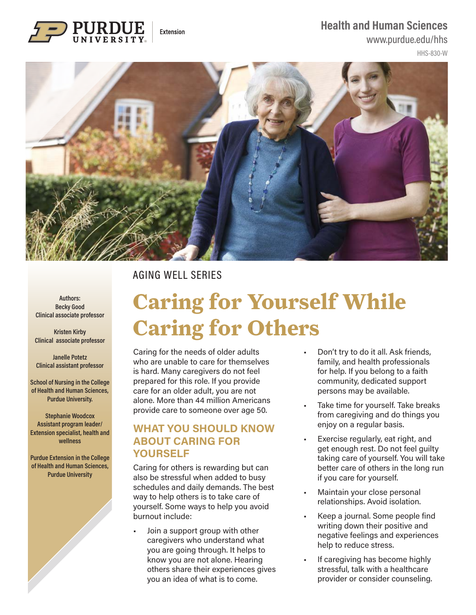#### **Health and Human Sciences**



## www.purdue.edu/hhs

HHS-830-W



## AGING WELL SERIES

**Authors: Becky Good Clinical associate professor**

**Kristen Kirby Clinical associate professor**

**Janelle Potetz Clinical assistant professor**

**School of Nursing in the College of Health and Human Sciences, Purdue University.** 

**Stephanie Woodcox Assistant program leader/ Extension specialist, health and wellness**

**Purdue Extension in the College of Health and Human Sciences, Purdue University**

# **Caring for Yourself While Caring for Others**

Caring for the needs of older adults who are unable to care for themselves is hard. Many caregivers do not feel prepared for this role. If you provide care for an older adult, you are not alone. More than 44 million Americans provide care to someone over age 50.

### **WHAT YOU SHOULD KNOW ABOUT CARING FOR YOURSELF**

Caring for others is rewarding but can also be stressful when added to busy schedules and daily demands. The best way to help others is to take care of yourself. Some ways to help you avoid burnout include:

• Join a support group with other caregivers who understand what you are going through. It helps to know you are not alone. Hearing others share their experiences gives you an idea of what is to come.

- Don't try to do it all. Ask friends, family, and health professionals for help. If you belong to a faith community, dedicated support persons may be available.
- Take time for yourself. Take breaks from caregiving and do things you enjoy on a regular basis.
- Exercise regularly, eat right, and get enough rest. Do not feel guilty taking care of yourself. You will take better care of others in the long run if you care for yourself.
- Maintain your close personal relationships. Avoid isolation.
- Keep a journal. Some people find writing down their positive and negative feelings and experiences help to reduce stress.
- If caregiving has become highly stressful, talk with a healthcare provider or consider counseling.